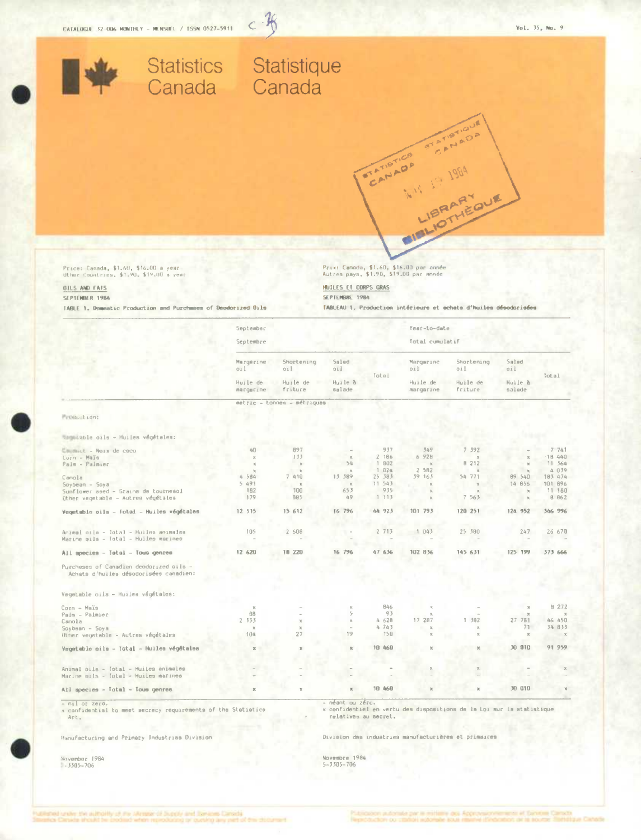

# Statistics Statistique<br>Canada Canada

 $-76$  $\overline{C}$ 

Price: Canada, \$1,60, \$16.00 a year<br>Uther Countries, \$1,90, \$19.00 a year

### **OILS AND FATS** SEPTEMBER 1984

TABLE 1. Domestic Production and Purchases of Deodorized Dils

Prix: Canada, \$1.60, \$16.00 par année<br>Autres pays, \$1.90, \$19.00 par année

STATIST CANADA

CB

FOIFEL

HUILES ET CORPS GRAS SEPTEMBRE 1984

TABLEAU 1, Production intérieure et achats d'huiles désodorisées

CANADA

IEQUE

A.V. 19 1984

|                                                                                   | September             |                                          |                                   |                 | Year-to-date                              |                                           |                                   |              |
|-----------------------------------------------------------------------------------|-----------------------|------------------------------------------|-----------------------------------|-----------------|-------------------------------------------|-------------------------------------------|-----------------------------------|--------------|
|                                                                                   | Septembre             |                                          |                                   | Total cumulatif |                                           |                                           |                                   |              |
|                                                                                   | Margarine<br>oil      | Shortening<br>011<br>Huile de<br>friture | Salad<br>dio<br>Huile à<br>salade | Total           | Margarine<br>011<br>Huile de<br>margarine | Shortening<br>OAI.<br>Huile de<br>friture | Salad<br>ail<br>Huile à<br>salade | Total        |
|                                                                                   | Huile de<br>margarine |                                          |                                   |                 |                                           |                                           |                                   |              |
|                                                                                   |                       | metric - tonnes - métriques              |                                   |                 |                                           |                                           |                                   |              |
| Petitiout.com                                                                     |                       |                                          |                                   |                 |                                           |                                           |                                   |              |
| campatable oils - Huiles végétales:                                               |                       |                                          |                                   |                 |                                           |                                           |                                   |              |
| Emminut - Noix de coco                                                            | 40                    | 897                                      |                                   | 937             | 349                                       | 7 392                                     |                                   | 7.741        |
| Corn - Maïs                                                                       | $\mathbf{X}$          | 133                                      | $\mathbb{Z}$                      | 2 186           | 6 928                                     | $\mathbf x$                               |                                   | 18 440       |
| Palm - Palmier                                                                    | $\mathbb{M}$          | $\mathbb{R}$                             | 54                                | 1 802           | $\chi$                                    | 8 212                                     |                                   | 11, 564      |
|                                                                                   | $\mathbb{X}$          | $\mathbf{R}$                             |                                   | 1 024           | 2582                                      | $\mathbf{v}$                              |                                   | 4 039        |
| Canola                                                                            | 4 584                 | 7 410                                    | 15 389                            | 25 383          | 39 163                                    | 54 771                                    | 89 540                            | 183 474      |
| Soybean - Soya                                                                    | 5491                  | $\mathbb K$                              | $\boldsymbol{\times}$             | 11 543          | $\mathbb{X}$                              | $\lambda$                                 | 14 856                            | 101 896      |
| Sunflower seed - Grains de tournesol                                              | 182                   | 100                                      | 653                               | 935             | $36$                                      |                                           | $\mathbf{x}$                      | 11 180       |
| Other vegetable - Autres végétales                                                | 179                   | 885                                      | 49                                | 1113            | $\mathbb K$                               | 7 563                                     | $\mathbf x$                       | 8 862        |
| Vegetable pils - Total - Huiles végétales                                         | 12 515                | 15 612                                   | 16 796                            | 44 923          | 101 793                                   | 120 251                                   | 124 952                           | 346 996      |
|                                                                                   |                       |                                          |                                   |                 |                                           |                                           |                                   |              |
| Animal cila - Total - Huiles animales                                             | 105                   | 2 608                                    |                                   | 2 713           | 1043                                      | 25 380                                    | 247                               | 26 670       |
| Marine pils - Total - Huiles marines                                              |                       |                                          |                                   |                 |                                           |                                           |                                   |              |
| All apecies - Total - Tous genres                                                 | 12 620                | 18 220                                   | 16 796                            | 47 636          | 102 836                                   | 145 631                                   | 125 199                           | 373 666      |
| Purcheses of Canadian deodorized oils -<br>Achats d'huiles désodorisées canadien: |                       |                                          |                                   |                 |                                           |                                           |                                   |              |
|                                                                                   |                       |                                          |                                   |                 |                                           |                                           |                                   |              |
| Vegetable oils - Huilea végétales:                                                |                       |                                          |                                   |                 |                                           |                                           |                                   |              |
| Corn - Maïs                                                                       | $\mathbb{X}$          |                                          | $\mathbb{X}$                      | 846             |                                           |                                           | $\mathbb{X}$                      | 8272         |
| Palm - Palmier                                                                    | 88                    |                                          | 5                                 | 93              |                                           |                                           | $\mathbb X$                       | $\mathbb{R}$ |
| Canola                                                                            | 2 3 3 5               | $\chi$                                   | $\mathcal{R}$                     | 4 628           | 17 287                                    | 1 502                                     | 27 781                            | 46 450       |
| Soybean - Soya                                                                    | ×                     | $\mathbb{X}$                             |                                   | 4 743           | $\mathbb{R}$                              | $\mathbf{x}$                              | 71                                | 34 833       |
| Other vegetable - Autres végétales                                                | 104                   | 27                                       | 19                                | 150             |                                           | $\mathbf{x}$                              | $\mathbb{X}$                      | $\times$     |
| Vegetable oils - Iotal - Huilem végétalem                                         | $\mathbb X$           |                                          | $\chi$                            | 10 460          |                                           | $\mathbf x$                               | 30 010                            | 91 959       |
|                                                                                   |                       |                                          |                                   |                 |                                           |                                           |                                   |              |
| Animal oils - Total - Huiles animales                                             |                       |                                          |                                   |                 |                                           |                                           |                                   |              |
| Marine oils - Total - Huiles marines                                              |                       |                                          |                                   |                 |                                           |                                           |                                   |              |
| All species - Total - Tous genres                                                 | $\mathbb{X}$          |                                          |                                   | 10 460          | ×                                         |                                           | 30 010                            |              |

x confidential to meet secrecy requirements of ths Statistics Act.

Manufacturing and Primary Industrias Division

November 1984<br>3-3305-706

x confidentiel en vertu des dispositions de la Loi sur la statistique relatives au secret.

Division das industries manufacturières et primaires

Novembre 1984<br>5-3305-706